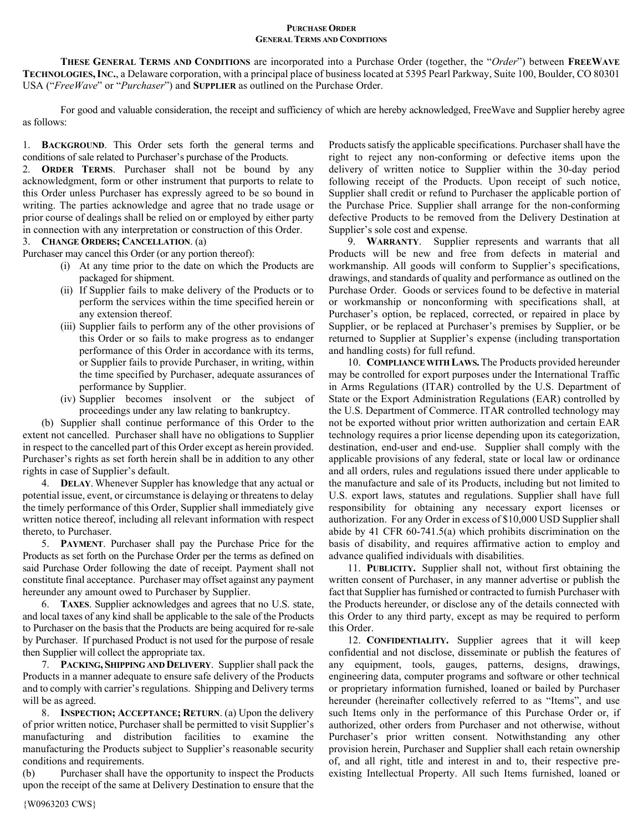## **PURCHASE ORDER GENERAL TERMS AND CONDITIONS**

**THESE GENERAL TERMS AND CONDITIONS** are incorporated into a Purchase Order (together, the "*Order*") between **FREEWAVE TECHNOLOGIES,INC.**, a Delaware corporation, with a principal place of business located at 5395 Pearl Parkway, Suite 100, Boulder, CO 80301 USA ("*FreeWave*" or "*Purchaser*") and **SUPPLIER** as outlined on the Purchase Order.

For good and valuable consideration, the receipt and sufficiency of which are hereby acknowledged, FreeWave and Supplier hereby agree as follows:

1. **BACKGROUND**. This Order sets forth the general terms and conditions of sale related to Purchaser's purchase of the Products.

2. **ORDER TERMS**. Purchaser shall not be bound by any acknowledgment, form or other instrument that purports to relate to this Order unless Purchaser has expressly agreed to be so bound in writing. The parties acknowledge and agree that no trade usage or prior course of dealings shall be relied on or employed by either party in connection with any interpretation or construction of this Order.

3. **CHANGE ORDERS; CANCELLATION**. (a)

Purchaser may cancel this Order (or any portion thereof):

- (i) At any time prior to the date on which the Products are packaged for shipment.
- (ii) If Supplier fails to make delivery of the Products or to perform the services within the time specified herein or any extension thereof.
- (iii) Supplier fails to perform any of the other provisions of this Order or so fails to make progress as to endanger performance of this Order in accordance with its terms, or Supplier fails to provide Purchaser, in writing, within the time specified by Purchaser, adequate assurances of performance by Supplier.
- (iv) Supplier becomes insolvent or the subject of proceedings under any law relating to bankruptcy.

(b) Supplier shall continue performance of this Order to the extent not cancelled. Purchaser shall have no obligations to Supplier in respect to the cancelled part of this Order except as herein provided. Purchaser's rights as set forth herein shall be in addition to any other rights in case of Supplier's default.

4. **DELAY**. Whenever Suppler has knowledge that any actual or potential issue, event, or circumstance is delaying or threatens to delay the timely performance of this Order, Supplier shall immediately give written notice thereof, including all relevant information with respect thereto, to Purchaser.

5. **PAYMENT**. Purchaser shall pay the Purchase Price for the Products as set forth on the Purchase Order per the terms as defined on said Purchase Order following the date of receipt. Payment shall not constitute final acceptance. Purchaser may offset against any payment hereunder any amount owed to Purchaser by Supplier.

6. **TAXES**. Supplier acknowledges and agrees that no U.S. state, and local taxes of any kind shall be applicable to the sale of the Products to Purchaser on the basis that the Products are being acquired for re-sale by Purchaser. If purchased Product is not used for the purpose of resale then Supplier will collect the appropriate tax.

7. **PACKING, SHIPPING AND DELIVERY**. Supplier shall pack the Products in a manner adequate to ensure safe delivery of the Products and to comply with carrier's regulations. Shipping and Delivery terms will be as agreed.

8. **INSPECTION; ACCEPTANCE; RETURN**. (a) Upon the delivery of prior written notice, Purchaser shall be permitted to visit Supplier's manufacturing and distribution facilities to examine the manufacturing the Products subject to Supplier's reasonable security conditions and requirements.

(b) Purchaser shall have the opportunity to inspect the Products upon the receipt of the same at Delivery Destination to ensure that the

Products satisfy the applicable specifications. Purchaser shall have the right to reject any non-conforming or defective items upon the delivery of written notice to Supplier within the 30-day period following receipt of the Products. Upon receipt of such notice, Supplier shall credit or refund to Purchaser the applicable portion of the Purchase Price. Supplier shall arrange for the non-conforming defective Products to be removed from the Delivery Destination at Supplier's sole cost and expense.

9. **WARRANTY**. Supplier represents and warrants that all Products will be new and free from defects in material and workmanship. All goods will conform to Supplier's specifications, drawings, and standards of quality and performance as outlined on the Purchase Order. Goods or services found to be defective in material or workmanship or nonconforming with specifications shall, at Purchaser's option, be replaced, corrected, or repaired in place by Supplier, or be replaced at Purchaser's premises by Supplier, or be returned to Supplier at Supplier's expense (including transportation and handling costs) for full refund.

10. **COMPLIANCE WITH LAWS.**The Products provided hereunder may be controlled for export purposes under the International Traffic in Arms Regulations (ITAR) controlled by the U.S. Department of State or the Export Administration Regulations (EAR) controlled by the U.S. Department of Commerce. ITAR controlled technology may not be exported without prior written authorization and certain EAR technology requires a prior license depending upon its categorization, destination, end-user and end-use. Supplier shall comply with the applicable provisions of any federal, state or local law or ordinance and all orders, rules and regulations issued there under applicable to the manufacture and sale of its Products, including but not limited to U.S. export laws, statutes and regulations. Supplier shall have full responsibility for obtaining any necessary export licenses or authorization. For any Order in excess of \$10,000 USD Supplier shall abide by 41 CFR 60-741.5(a) which prohibits discrimination on the basis of disability, and requires affirmative action to employ and advance qualified individuals with disabilities.

11. **PUBLICITY.** Supplier shall not, without first obtaining the written consent of Purchaser, in any manner advertise or publish the fact that Supplier has furnished or contracted to furnish Purchaser with the Products hereunder, or disclose any of the details connected with this Order to any third party, except as may be required to perform this Order.

12. **CONFIDENTIALITY.** Supplier agrees that it will keep confidential and not disclose, disseminate or publish the features of any equipment, tools, gauges, patterns, designs, drawings, engineering data, computer programs and software or other technical or proprietary information furnished, loaned or bailed by Purchaser hereunder (hereinafter collectively referred to as "Items", and use such Items only in the performance of this Purchase Order or, if authorized, other orders from Purchaser and not otherwise, without Purchaser's prior written consent. Notwithstanding any other provision herein, Purchaser and Supplier shall each retain ownership of, and all right, title and interest in and to, their respective preexisting Intellectual Property. All such Items furnished, loaned or